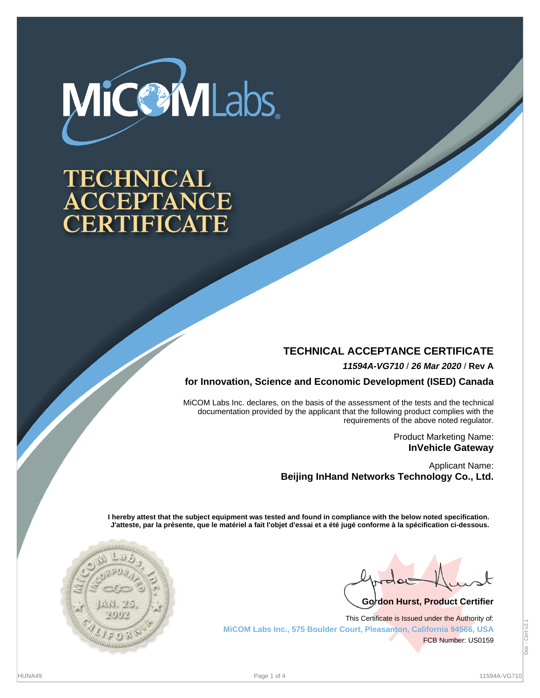

# **TECHNICAL** CCEPTANCE CERTIFICATE

## **TECHNICAL ACCEPTANCE CERTIFICATE**

**11594A-VG710** / **26 Mar 2020** / **Rev A**

**for Innovation, Science and Economic Development (ISED) Canada**

MiCOM Labs Inc. declares, on the basis of the assessment of the tests and the technical documentation provided by the applicant that the following product complies with the requirements of the above noted regulator.

> Product Marketing Name: **InVehicle Gateway**

Applicant Name: **Beijing InHand Networks Technology Co., Ltd.**

**I hereby attest that the subject equipment was tested and found in compliance with the below noted specification. J'atteste, par la présente, que le matériel a fait l'objet d'essai et a été jugé conforme à la spécification ci-dessous.**



Go<sup>*d*</sup>on Hurst, Product Certifier

This Certificate is Issued under the Authority of: **MiCOM Labs Inc., 575 Boulder Court, Pleasanton, California 94566, USA** FCB Number: US0159

Doc - Cert v2.1Cert v2. Doc-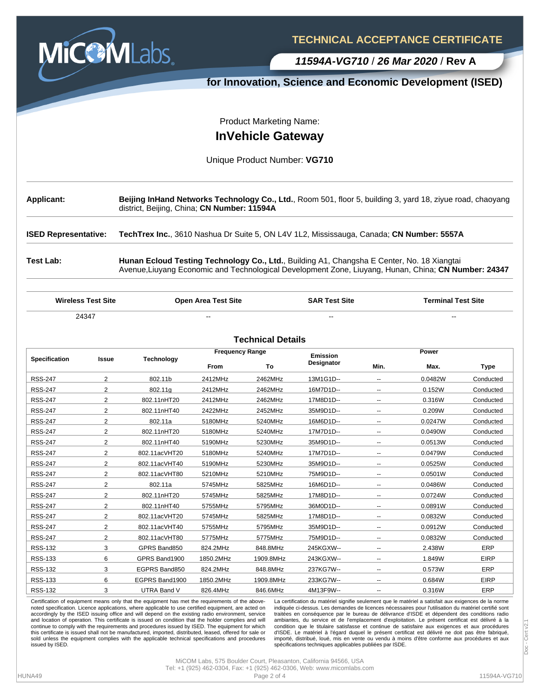

**TECHNICAL ACCEPTANCE CERTIFICATE**

**11594A-VG710** / **26 Mar 2020** / **Rev A**

#### **for Innovation, Science and Economic Development (ISED)**

Product Marketing Name:

#### **InVehicle Gateway**

#### Unique Product Number: **VG710**

| <b>Applicant:</b> | Beijing InHand Networks Technology Co., Ltd., Room 501, floor 5, building 3, yard 18, ziyue road, chaoyang<br>district, Beijing, China; CN Number: 11594A |
|-------------------|-----------------------------------------------------------------------------------------------------------------------------------------------------------|
|                   |                                                                                                                                                           |

**ISED Representative: TechTrex Inc.**, 3610 Nashua Dr Suite 5, ON L4V 1L2, Mississauga, Canada; **CN Number: 5557A**

**Test Lab: Hunan Ecloud Testing Technology Co., Ltd.**, Building A1, Changsha E Center, No. 18 Xiangtai Avenue,Liuyang Economic and Technological Development Zone, Liuyang, Hunan, China; **CN Number: 24347**

**Wireless Test Site Open Area Test Site SAR Test Site Terminal Test Site** 24347 -- -- --

| <b>Technical Details</b> |                |                    |                        |           |                 |                          |         |             |
|--------------------------|----------------|--------------------|------------------------|-----------|-----------------|--------------------------|---------|-------------|
|                          |                | <b>Technology</b>  | <b>Frequency Range</b> |           | <b>Emission</b> | Power                    |         |             |
| Specification            | Issue          |                    | <b>From</b>            | To        | Designator      | Min.                     | Max.    | <b>Type</b> |
| <b>RSS-247</b>           | $\overline{2}$ | 802.11b            | 2412MHz                | 2462MHz   | 13M1G1D--       | ۰.                       | 0.0482W | Conducted   |
| <b>RSS-247</b>           | 2              | 802.11g            | 2412MHz                | 2462MHz   | 16M7D1D--       | $\overline{\phantom{a}}$ | 0.152W  | Conducted   |
| <b>RSS-247</b>           | $\overline{2}$ | 802.11nHT20        | 2412MHz                | 2462MHz   | 17M8D1D--       | $\overline{\phantom{a}}$ | 0.316W  | Conducted   |
| <b>RSS-247</b>           | $\overline{2}$ | 802.11nHT40        | 2422MHz                | 2452MHz   | 35M9D1D--       | -−                       | 0.209W  | Conducted   |
| <b>RSS-247</b>           | 2              | 802.11a            | 5180MHz                | 5240MHz   | 16M6D1D--       | -−                       | 0.0247W | Conducted   |
| <b>RSS-247</b>           | 2              | 802.11nHT20        | 5180MHz                | 5240MHz   | 17M7D1D--       | ۰.                       | 0.0490W | Conducted   |
| <b>RSS-247</b>           | 2              | 802.11nHT40        | 5190MHz                | 5230MHz   | 35M9D1D--       | -−                       | 0.0513W | Conducted   |
| <b>RSS-247</b>           | $\overline{2}$ | 802.11acVHT20      | 5180MHz                | 5240MHz   | 17M7D1D--       | -−                       | 0.0479W | Conducted   |
| <b>RSS-247</b>           | $\overline{2}$ | 802.11acVHT40      | 5190MHz                | 5230MHz   | 35M9D1D--       | -−                       | 0.0525W | Conducted   |
| <b>RSS-247</b>           | $\overline{2}$ | 802.11acVHT80      | 5210MHz                | 5210MHz   | 75M9D1D--       | --                       | 0.0501W | Conducted   |
| <b>RSS-247</b>           | $\overline{2}$ | 802.11a            | 5745MHz                | 5825MHz   | 16M6D1D--       | -−                       | 0.0486W | Conducted   |
| <b>RSS-247</b>           | $\overline{2}$ | 802.11nHT20        | 5745MHz                | 5825MHz   | 17M8D1D--       | --                       | 0.0724W | Conducted   |
| <b>RSS-247</b>           | $\overline{2}$ | 802.11nHT40        | 5755MHz                | 5795MHz   | 36M0D1D--       | -−                       | 0.0891W | Conducted   |
| <b>RSS-247</b>           | $\overline{2}$ | 802.11acVHT20      | 5745MHz                | 5825MHz   | 17M8D1D--       | $\overline{\phantom{a}}$ | 0.0832W | Conducted   |
| <b>RSS-247</b>           | 2              | 802.11acVHT40      | 5755MHz                | 5795MHz   | 35M9D1D--       | --                       | 0.0912W | Conducted   |
| <b>RSS-247</b>           | $\overline{2}$ | 802.11acVHT80      | 5775MHz                | 5775MHz   | 75M9D1D--       | $\overline{\phantom{a}}$ | 0.0832W | Conducted   |
| <b>RSS-132</b>           | 3              | GPRS Band850       | 824.2MHz               | 848.8MHz  | 245KGXW--       | -−                       | 2.438W  | ERP         |
| <b>RSS-133</b>           | 6              | GPRS Band1900      | 1850.2MHz              | 1909.8MHz | 243KGXW--       | -−                       | 1.849W  | <b>EIRP</b> |
| <b>RSS-132</b>           | 3              | EGPRS Band850      | 824.2MHz               | 848.8MHz  | 237KG7W--       | -−                       | 0.573W  | ERP         |
| <b>RSS-133</b>           | 6              | EGPRS Band1900     | 1850.2MHz              | 1909.8MHz | 233KG7W--       | --                       | 0.684W  | <b>EIRP</b> |
| <b>RSS-132</b>           | 3              | <b>UTRA Band V</b> | 826.4MHz               | 846.6MHz  | 4M13F9W--       | ۰.                       | 0.316W  | ERP         |

Certification of equipment means only that the equipment has met the requirements of the abovenoted specification. Licence applications, where applicable to use certified equipment, are acted on accordingly by the ISED issuing office and will depend on the existing radio environment, service and location of operation. This certificate is issued on condition that the holder complies and will continue to comply with the requirements and procedures issued by ISED. The equipment for which this certificate is issued shall not be manufactured, imported, distributed, leased, offered for sale or sold unless the equipment complies with the applicable technical specifications and procedures issued by ISED.

La certification du matériel signifie seulement que le matériel a satisfait aux exigences de la norme indiquée ci-dessus. Les demandes de licences nécessaires pour l'utilisation du matériel certifié sont traitées en conséquence par le bureau de délivrance d'ISDE et dépendent des conditions radio ambiantes, du service et de l'emplacement d'exploitation. Le présent certificat est délivré à la condition que le titulaire satisfasse et continue de satisfaire aux exigences et aux procédures d'ISDE. Le matériel à l'égard duquel le présent certificat est délivré ne doit pas être fabriqué, importé, distribué, loué, mis en vente ou vendu à moins d'être conforme aux procédures et aux spécifications techniques applicables publiées par ISDE.

Tel: +1 (925) 462-0304, Fax: +1 (925) 462-0306, Web: www.micomlabs.com

Doc - Cert v2.1

Cert **Doc**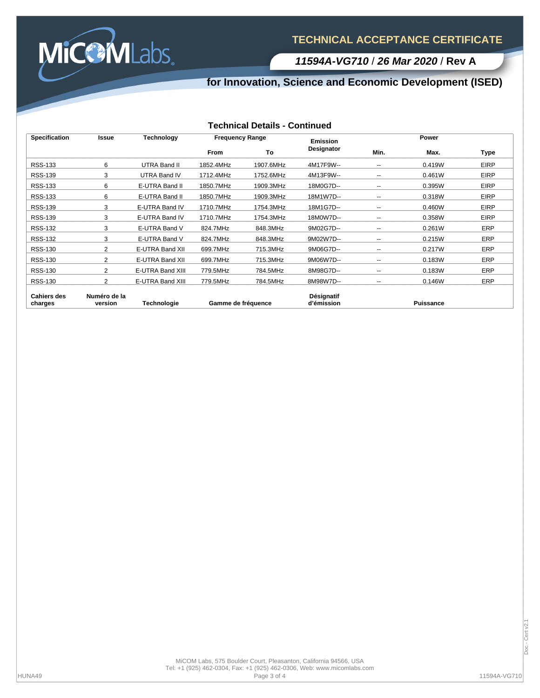

**11594A-VG710** / **26 Mar 2020** / **Rev A**

## **for Innovation, Science and Economic Development (ISED)**

#### **Technical Details - Continued**

| <b>Specification</b>          | <b>Issue</b>            | Technology          | <b>Frequency Range</b> |           | <b>Emission</b>          | Power                    |                  |             |
|-------------------------------|-------------------------|---------------------|------------------------|-----------|--------------------------|--------------------------|------------------|-------------|
|                               |                         |                     | <b>From</b>            | To        | Designator               | Min.                     | Max.             | Type        |
| <b>RSS-133</b>                | 6                       | UTRA Band II        | 1852.4MHz              | 1907.6MHz | 4M17F9W--                | $\overline{\phantom{a}}$ | 0.419W           | <b>EIRP</b> |
| <b>RSS-139</b>                | 3                       | <b>UTRA Band IV</b> | 1712.4MHz              | 1752.6MHz | 4M13F9W--                | $\overline{\phantom{a}}$ | 0.461W           | <b>EIRP</b> |
| <b>RSS-133</b>                | 6                       | E-UTRA Band II      | 1850.7MHz              | 1909.3MHz | 18M0G7D--                | $\overline{\phantom{a}}$ | 0.395W           | <b>EIRP</b> |
| <b>RSS-133</b>                | 6                       | E-UTRA Band II      | 1850.7MHz              | 1909.3MHz | 18M1W7D--                | $\overline{\phantom{a}}$ | 0.318W           | <b>EIRP</b> |
| <b>RSS-139</b>                | 3                       | E-UTRA Band IV      | 1710.7MHz              | 1754.3MHz | 18M1G7D--                | $\overline{\phantom{a}}$ | 0.460W           | <b>EIRP</b> |
| <b>RSS-139</b>                | 3                       | E-UTRA Band IV      | 1710.7MHz              | 1754.3MHz | 18M0W7D--                | $\overline{\phantom{a}}$ | 0.358W           | <b>EIRP</b> |
| <b>RSS-132</b>                | 3                       | E-UTRA Band V       | 824.7MHz               | 848.3MHz  | 9M02G7D--                | $\overline{\phantom{a}}$ | 0.261W           | ERP         |
| <b>RSS-132</b>                | 3                       | E-UTRA Band V       | 824.7MHz               | 848.3MHz  | 9M02W7D--                | $\overline{\phantom{a}}$ | 0.215W           | ERP         |
| <b>RSS-130</b>                | 2                       | E-UTRA Band XII     | 699.7MHz               | 715.3MHz  | 9M06G7D--                | $\overline{\phantom{a}}$ | 0.217W           | ERP         |
| <b>RSS-130</b>                | $\overline{2}$          | E-UTRA Band XII     | 699.7MHz               | 715.3MHz  | 9M06W7D--                | $\overline{\phantom{a}}$ | 0.183W           | ERP         |
| <b>RSS-130</b>                | $\overline{2}$          | E-UTRA Band XIII    | 779.5MHz               | 784.5MHz  | 8M98G7D--                | $\overline{\phantom{a}}$ | 0.183W           | ERP         |
| <b>RSS-130</b>                | 2                       | E-UTRA Band XIII    | 779.5MHz               | 784.5MHz  | 8M98W7D--                | $- -$                    | 0.146W           | ERP         |
| <b>Cahiers des</b><br>charges | Numéro de la<br>version | Technologie         | Gamme de fréquence     |           | Désignatif<br>d'émission |                          | <b>Puissance</b> |             |